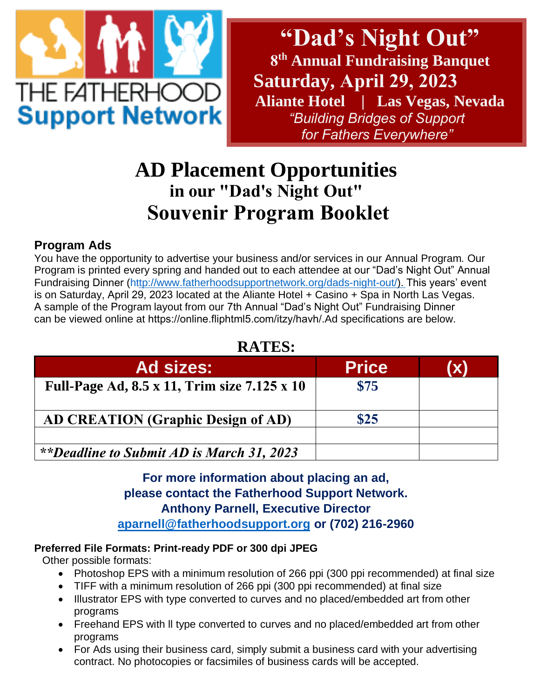

**"Dad's Night Out" 8 th Annual Fundraising Banquet Saturday, April 29, 2023 Aliante Hotel | Las Vegas, Nevada** *"Building Bridges of Support for Fathers Everywhere"* 

# **AD Placement Opportunities in our "Dad's Night Out" Souvenir Program Booklet**

### **Program Ads**

You have the opportunity to advertise your business and/or services in our Annual Program. Our Program is printed every spring and handed out to each attendee at our "Dad's Night Out" Annual Fundraising Dinner (h[ttp://www.fatherhoodsupportnetwork.org/dads-night-out/\). T](http://www.fatherhoodsupportnetwork.org/dads-night-out/)his years' event is on Saturday, April 29, 2023 located at the Aliante Hotel + Casino + Spa in North Las Vegas. A sample of the Program layout from our 7th Annual "Dad's Night Out" Fundraising Dinner can be viewed online at https://online.fliphtml5.com/itzy/havh/.Ad specifications are below.

## **RATES:**

| <b>Ad sizes:</b>                             | <b>Price</b> | (X) |
|----------------------------------------------|--------------|-----|
| Full-Page Ad, 8.5 x 11, Trim size 7.125 x 10 | \$75         |     |
| <b>AD CREATION (Graphic Design of AD)</b>    | \$25         |     |
| **Deadline to Submit AD is March 31, 2023    |              |     |

### **For more information about placing an ad, please contact the Fatherhood Support Network. Anthony Parnell, Executive Director [aparnell@fatherhoodsupport.org](mailto:aparnell@fatherhoodsupport.org) or (702) 216-2960**

#### **Preferred File Formats: Print-ready PDF or 300 dpi JPEG**

Other possible formats:

- Photoshop EPS with a minimum resolution of 266 ppi (300 ppi recommended) at final size
- TIFF with a minimum resolution of 266 ppi (300 ppi recommended) at final size
- Illustrator EPS with type converted to curves and no placed/embedded art from other programs
- Freehand EPS with ll type converted to curves and no placed/embedded art from other programs
- For Ads using their business card, simply submit a business card with your advertising contract. No photocopies or facsimiles of business cards will be accepted.